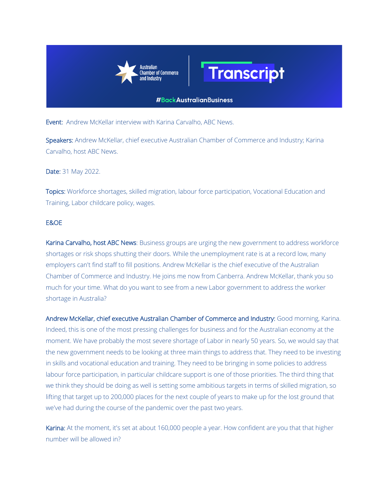



## **#BackAustralianBusiness**

Event: Andrew McKellar interview with Karina Carvalho, ABC News.

Speakers: Andrew McKellar, chief executive Australian Chamber of Commerce and Industry; Karina Carvalho, host ABC News.

Date: 31 May 2022.

Topics: Workforce shortages, skilled migration, labour force participation, Vocational Education and Training, Labor childcare policy, wages.

## E&OE

Karina Carvalho, host ABC News: Business groups are urging the new government to address workforce shortages or risk shops shutting their doors. While the unemployment rate is at a record low, many employers can't find staff to fill positions. Andrew McKellar is the chief executive of the Australian Chamber of Commerce and Industry. He joins me now from Canberra. Andrew McKellar, thank you so much for your time. What do you want to see from a new Labor government to address the worker shortage in Australia?

Andrew McKellar, chief executive Australian Chamber of Commerce and Industry: Good morning, Karina. Indeed, this is one of the most pressing challenges for business and for the Australian economy at the moment. We have probably the most severe shortage of Labor in nearly 50 years. So, we would say that the new government needs to be looking at three main things to address that. They need to be investing in skills and vocational education and training. They need to be bringing in some policies to address labour force participation, in particular childcare support is one of those priorities. The third thing that we think they should be doing as well is setting some ambitious targets in terms of skilled migration, so lifting that target up to 200,000 places for the next couple of years to make up for the lost ground that we've had during the course of the pandemic over the past two years.

Karina: At the moment, it's set at about 160,000 people a year. How confident are you that that higher number will be allowed in?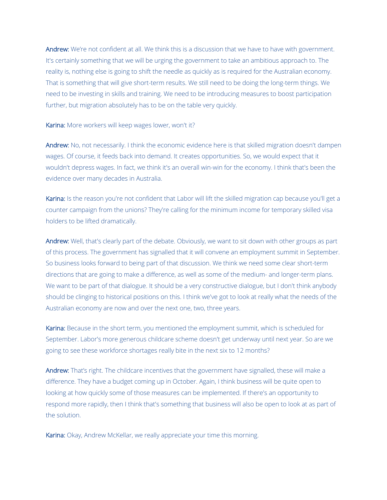Andrew: We're not confident at all. We think this is a discussion that we have to have with government. It's certainly something that we will be urging the government to take an ambitious approach to. The reality is, nothing else is going to shift the needle as quickly as is required for the Australian economy. That is something that will give short-term results. We still need to be doing the long-term things. We need to be investing in skills and training. We need to be introducing measures to boost participation further, but migration absolutely has to be on the table very quickly.

Karina: More workers will keep wages lower, won't it?

Andrew: No, not necessarily. I think the economic evidence here is that skilled migration doesn't dampen wages. Of course, it feeds back into demand. It creates opportunities. So, we would expect that it wouldn't depress wages. In fact, we think it's an overall win-win for the economy. I think that's been the evidence over many decades in Australia.

Karina: Is the reason you're not confident that Labor will lift the skilled migration cap because you'll get a counter campaign from the unions? They're calling for the minimum income for temporary skilled visa holders to be lifted dramatically.

Andrew: Well, that's clearly part of the debate. Obviously, we want to sit down with other groups as part of this process. The government has signalled that it will convene an employment summit in September. So business looks forward to being part of that discussion. We think we need some clear short-term directions that are going to make a difference, as well as some of the medium- and longer-term plans. We want to be part of that dialogue. It should be a very constructive dialogue, but I don't think anybody should be clinging to historical positions on this. I think we've got to look at really what the needs of the Australian economy are now and over the next one, two, three years.

Karina: Because in the short term, you mentioned the employment summit, which is scheduled for September. Labor's more generous childcare scheme doesn't get underway until next year. So are we going to see these workforce shortages really bite in the next six to 12 months?

Andrew: That's right. The childcare incentives that the government have signalled, these will make a difference. They have a budget coming up in October. Again, I think business will be quite open to looking at how quickly some of those measures can be implemented. If there's an opportunity to respond more rapidly, then I think that's something that business will also be open to look at as part of the solution.

Karina: Okay, Andrew McKellar, we really appreciate your time this morning.